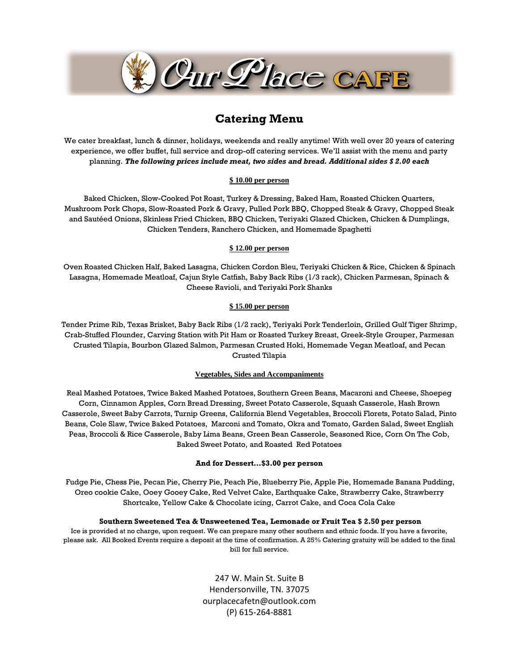

# **Catering Menu**

We cater breakfast, lunch & dinner, holidays, weekends and really anytime! With well over 20 years of catering experience, we offer buffet, full service and drop-off catering services. We'll assist with the menu and party planning. *The following prices include meat, two sides and bread. Additional sides \$ 2.00 each* 

#### **\$ 10.00 per person**

Baked Chicken, Slow-Cooked Pot Roast, Turkey & Dressing, Baked Ham, Roasted Chicken Quarters, Mushroom Pork Chops, Slow-Roasted Pork & Gravy, Pulled Pork BBQ, Chopped Steak & Gravy, Chopped Steak and Sautéed Onions, Skinless Fried Chicken, BBQ Chicken, Teriyaki Glazed Chicken, Chicken & Dumplings, Chicken Tenders, Ranchero Chicken, and Homemade Spaghetti

#### **\$ 12.00 per person**

Oven Roasted Chicken Half, Baked Lasagna, Chicken Cordon Bleu, Teriyaki Chicken & Rice, Chicken & Spinach Lasagna, Homemade Meatloaf, Cajun Style Catfish, Baby Back Ribs (1/3 rack), Chicken Parmesan, Spinach & Cheese Ravioli, and Teriyaki Pork Shanks

#### **\$ 15.00 per person**

Tender Prime Rib, Texas Brisket, Baby Back Ribs (1/2 rack), Teriyaki Pork Tenderloin, Grilled Gulf Tiger Shrimp, Crab-Stuffed Flounder, Carving Station with Pit Ham or Roasted Turkey Breast, Greek-Style Grouper, Parmesan Crusted Tilapia, Bourbon Glazed Salmon, Parmesan Crusted Hoki, Homemade Vegan Meatloaf, and Pecan Crusted Tilapia

#### **Vegetables, Sides and Accompaniments**

Real Mashed Potatoes, Twice Baked Mashed Potatoes, Southern Green Beans, Macaroni and Cheese, Shoepeg Corn, Cinnamon Apples, Corn Bread Dressing, Sweet Potato Casserole, Squash Casserole, Hash Brown Casserole, Sweet Baby Carrots, Turnip Greens, California Blend Vegetables, Broccoli Florets, Potato Salad, Pinto Beans, Cole Slaw, Twice Baked Potatoes, Marconi and Tomato, Okra and Tomato, Garden Salad, Sweet English Peas, Broccoli & Rice Casserole, Baby Lima Beans, Green Bean Casserole, Seasoned Rice, Corn On The Cob, Baked Sweet Potato, and Roasted Red Potatoes

#### **And for Dessert…\$3.00 per person**

Fudge Pie, Chess Pie, Pecan Pie, Cherry Pie, Peach Pie, Blueberry Pie, Apple Pie, Homemade Banana Pudding, Oreo cookie Cake, Ooey Gooey Cake, Red Velvet Cake, Earthquake Cake, Strawberry Cake, Strawberry Shortcake, Yellow Cake & Chocolate icing, Carrot Cake, and Coca Cola Cake

#### **Southern Sweetened Tea & Unsweetened Tea, Lemonade or Fruit Tea \$ 2.50 per person**

Ice is provided at no charge, upon request. We can prepare many other southern and ethnic foods. If you have a favorite, please ask. All Booked Events require a deposit at the time of confirmation. A 25% Catering gratuity will be added to the final bill for full service.

> 247 W. Main St. Suite B Hendersonville, TN. 37075 ourplacecafetn@outlook.com (P) 615-264-8881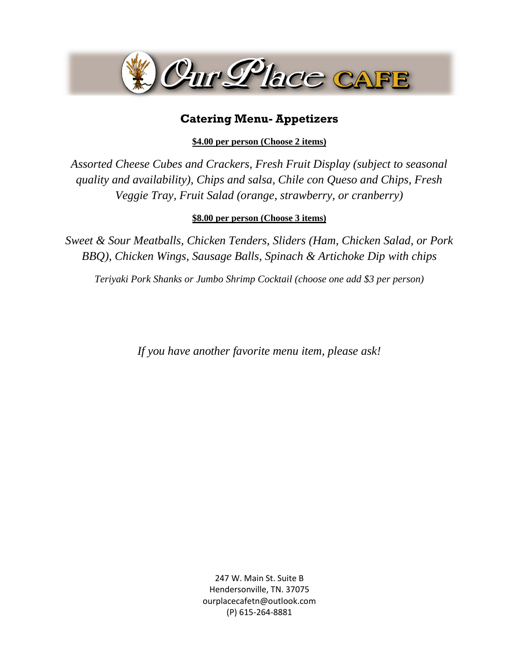

# **Catering Menu- Appetizers**

**\$4.00 per person (Choose 2 items)**

*Assorted Cheese Cubes and Crackers, Fresh Fruit Display (subject to seasonal quality and availability), Chips and salsa, Chile con Queso and Chips, Fresh Veggie Tray, Fruit Salad (orange, strawberry, or cranberry)*

### **\$8.00 per person (Choose 3 items)**

*Sweet & Sour Meatballs, Chicken Tenders, Sliders (Ham, Chicken Salad, or Pork BBQ), Chicken Wings, Sausage Balls, Spinach & Artichoke Dip with chips*

*Teriyaki Pork Shanks or Jumbo Shrimp Cocktail (choose one add \$3 per person)*

*If you have another favorite menu item, please ask!*

247 W. Main St. Suite B Hendersonville, TN. 37075 ourplacecafetn@outlook.com (P) 615-264-8881